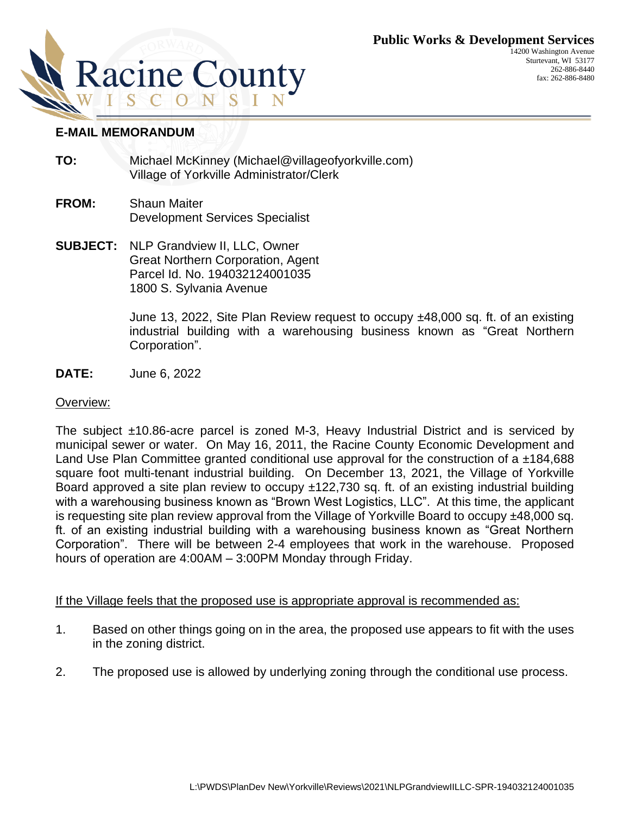

## **Racine County**

## **E-MAIL MEMORANDUM**

- **TO:** Michael McKinney (Michael@villageofyorkville.com) Village of Yorkville Administrator/Clerk
- **FROM:** Shaun Maiter Development Services Specialist
- **SUBJECT:** NLP Grandview II, LLC, Owner Great Northern Corporation, Agent Parcel Id. No. 194032124001035 1800 S. Sylvania Avenue

June 13, 2022, Site Plan Review request to occupy ±48,000 sq. ft. of an existing industrial building with a warehousing business known as "Great Northern Corporation".

**DATE:** June 6, 2022

## Overview:

The subject ±10.86-acre parcel is zoned M-3, Heavy Industrial District and is serviced by municipal sewer or water. On May 16, 2011, the Racine County Economic Development and Land Use Plan Committee granted conditional use approval for the construction of a ±184,688 square foot multi-tenant industrial building. On December 13, 2021, the Village of Yorkville Board approved a site plan review to occupy ±122,730 sq. ft. of an existing industrial building with a warehousing business known as "Brown West Logistics, LLC". At this time, the applicant is requesting site plan review approval from the Village of Yorkville Board to occupy ±48,000 sq. ft. of an existing industrial building with a warehousing business known as "Great Northern Corporation". There will be between 2-4 employees that work in the warehouse. Proposed hours of operation are 4:00AM – 3:00PM Monday through Friday.

## If the Village feels that the proposed use is appropriate approval is recommended as:

- 1. Based on other things going on in the area, the proposed use appears to fit with the uses in the zoning district.
- 2. The proposed use is allowed by underlying zoning through the conditional use process.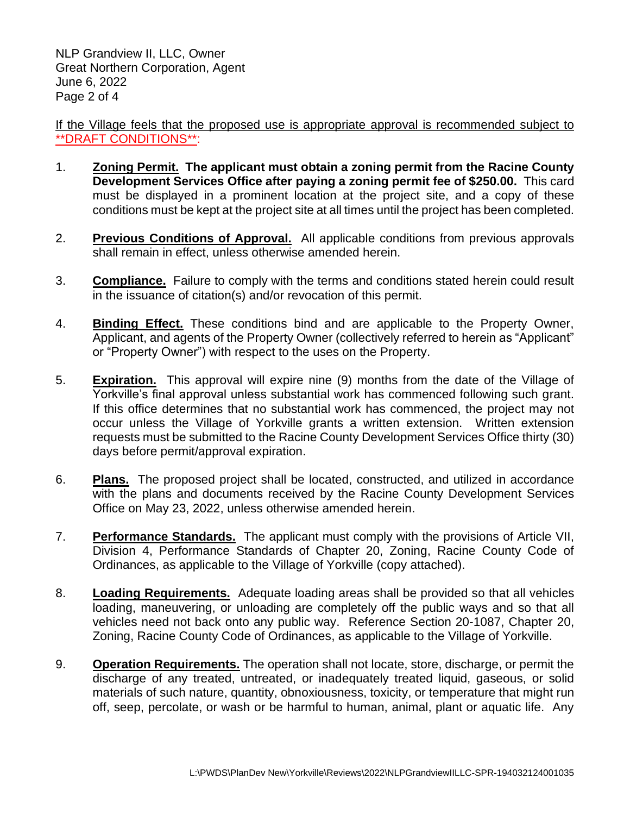NLP Grandview II, LLC, Owner Great Northern Corporation, Agent June 6, 2022 Page 2 of 4

If the Village feels that the proposed use is appropriate approval is recommended subject to \*\*DRAFT CONDITIONS\*\*:

- 1. **Zoning Permit. The applicant must obtain a zoning permit from the Racine County Development Services Office after paying a zoning permit fee of \$250.00.** This card must be displayed in a prominent location at the project site, and a copy of these conditions must be kept at the project site at all times until the project has been completed.
- 2. **Previous Conditions of Approval.** All applicable conditions from previous approvals shall remain in effect, unless otherwise amended herein.
- 3. **Compliance.** Failure to comply with the terms and conditions stated herein could result in the issuance of citation(s) and/or revocation of this permit.
- 4. **Binding Effect.** These conditions bind and are applicable to the Property Owner, Applicant, and agents of the Property Owner (collectively referred to herein as "Applicant" or "Property Owner") with respect to the uses on the Property.
- 5. **Expiration.** This approval will expire nine (9) months from the date of the Village of Yorkville's final approval unless substantial work has commenced following such grant. If this office determines that no substantial work has commenced, the project may not occur unless the Village of Yorkville grants a written extension. Written extension requests must be submitted to the Racine County Development Services Office thirty (30) days before permit/approval expiration.
- 6. **Plans.** The proposed project shall be located, constructed, and utilized in accordance with the plans and documents received by the Racine County Development Services Office on May 23, 2022, unless otherwise amended herein.
- 7. **Performance Standards.** The applicant must comply with the provisions of Article VII, Division 4, Performance Standards of Chapter 20, Zoning, Racine County Code of Ordinances, as applicable to the Village of Yorkville (copy attached).
- 8. **Loading Requirements.** Adequate loading areas shall be provided so that all vehicles loading, maneuvering, or unloading are completely off the public ways and so that all vehicles need not back onto any public way. Reference Section 20-1087, Chapter 20, Zoning, Racine County Code of Ordinances, as applicable to the Village of Yorkville.
- 9. **Operation Requirements.** The operation shall not locate, store, discharge, or permit the discharge of any treated, untreated, or inadequately treated liquid, gaseous, or solid materials of such nature, quantity, obnoxiousness, toxicity, or temperature that might run off, seep, percolate, or wash or be harmful to human, animal, plant or aquatic life. Any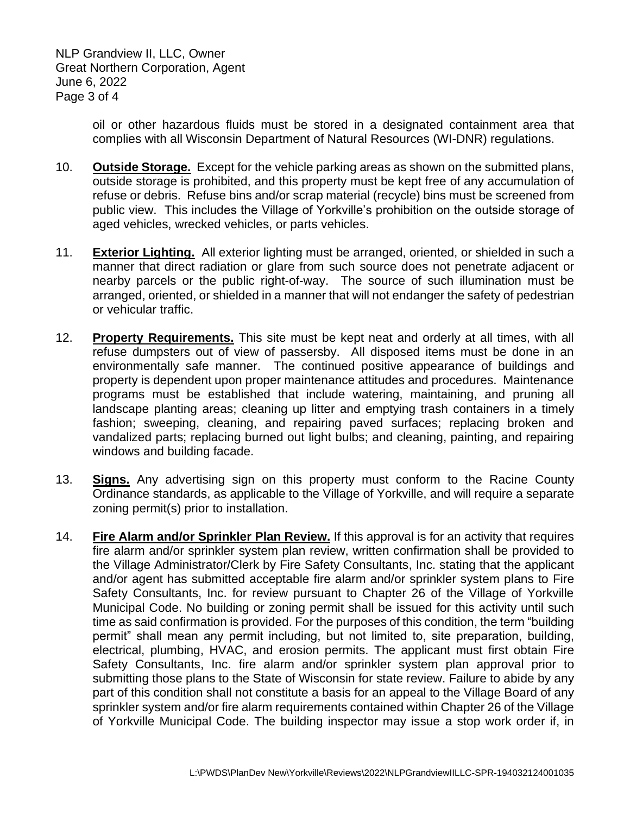NLP Grandview II, LLC, Owner Great Northern Corporation, Agent June 6, 2022 Page 3 of 4

> oil or other hazardous fluids must be stored in a designated containment area that complies with all Wisconsin Department of Natural Resources (WI-DNR) regulations.

- 10. **Outside Storage.** Except for the vehicle parking areas as shown on the submitted plans, outside storage is prohibited, and this property must be kept free of any accumulation of refuse or debris. Refuse bins and/or scrap material (recycle) bins must be screened from public view. This includes the Village of Yorkville's prohibition on the outside storage of aged vehicles, wrecked vehicles, or parts vehicles.
- 11. **Exterior Lighting.** All exterior lighting must be arranged, oriented, or shielded in such a manner that direct radiation or glare from such source does not penetrate adjacent or nearby parcels or the public right-of-way. The source of such illumination must be arranged, oriented, or shielded in a manner that will not endanger the safety of pedestrian or vehicular traffic.
- 12. **Property Requirements.** This site must be kept neat and orderly at all times, with all refuse dumpsters out of view of passersby. All disposed items must be done in an environmentally safe manner. The continued positive appearance of buildings and property is dependent upon proper maintenance attitudes and procedures. Maintenance programs must be established that include watering, maintaining, and pruning all landscape planting areas; cleaning up litter and emptying trash containers in a timely fashion; sweeping, cleaning, and repairing paved surfaces; replacing broken and vandalized parts; replacing burned out light bulbs; and cleaning, painting, and repairing windows and building facade.
- 13. **Signs.** Any advertising sign on this property must conform to the Racine County Ordinance standards, as applicable to the Village of Yorkville, and will require a separate zoning permit(s) prior to installation.
- 14. **Fire Alarm and/or Sprinkler Plan Review.** If this approval is for an activity that requires fire alarm and/or sprinkler system plan review, written confirmation shall be provided to the Village Administrator/Clerk by Fire Safety Consultants, Inc. stating that the applicant and/or agent has submitted acceptable fire alarm and/or sprinkler system plans to Fire Safety Consultants, Inc. for review pursuant to Chapter 26 of the Village of Yorkville Municipal Code. No building or zoning permit shall be issued for this activity until such time as said confirmation is provided. For the purposes of this condition, the term "building permit" shall mean any permit including, but not limited to, site preparation, building, electrical, plumbing, HVAC, and erosion permits. The applicant must first obtain Fire Safety Consultants, Inc. fire alarm and/or sprinkler system plan approval prior to submitting those plans to the State of Wisconsin for state review. Failure to abide by any part of this condition shall not constitute a basis for an appeal to the Village Board of any sprinkler system and/or fire alarm requirements contained within Chapter 26 of the Village of Yorkville Municipal Code. The building inspector may issue a stop work order if, in